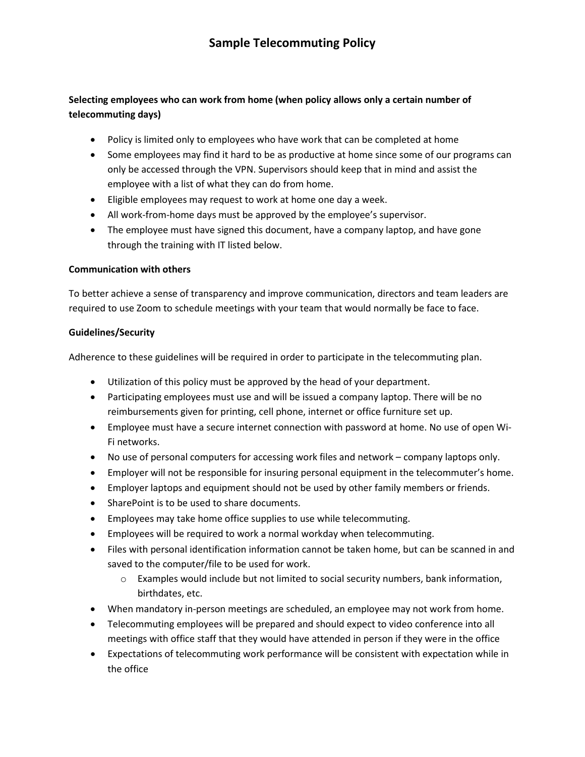## **Selecting employees who can work from home (when policy allows only a certain number of telecommuting days)**

- Policy is limited only to employees who have work that can be completed at home
- Some employees may find it hard to be as productive at home since some of our programs can only be accessed through the VPN. Supervisors should keep that in mind and assist the employee with a list of what they can do from home.
- Eligible employees may request to work at home one day a week.
- All work-from-home days must be approved by the employee's supervisor.
- The employee must have signed this document, have a company laptop, and have gone through the training with IT listed below.

#### **Communication with others**

To better achieve a sense of transparency and improve communication, directors and team leaders are required to use Zoom to schedule meetings with your team that would normally be face to face.

#### **Guidelines/Security**

Adherence to these guidelines will be required in order to participate in the telecommuting plan.

- Utilization of this policy must be approved by the head of your department.
- Participating employees must use and will be issued a company laptop. There will be no reimbursements given for printing, cell phone, internet or office furniture set up.
- Employee must have a secure internet connection with password at home. No use of open Wi-Fi networks.
- No use of personal computers for accessing work files and network company laptops only.
- Employer will not be responsible for insuring personal equipment in the telecommuter's home.
- Employer laptops and equipment should not be used by other family members or friends.
- SharePoint is to be used to share documents.
- Employees may take home office supplies to use while telecommuting.
- Employees will be required to work a normal workday when telecommuting.
- Files with personal identification information cannot be taken home, but can be scanned in and saved to the computer/file to be used for work.
	- o Examples would include but not limited to social security numbers, bank information, birthdates, etc.
- When mandatory in-person meetings are scheduled, an employee may not work from home.
- Telecommuting employees will be prepared and should expect to video conference into all meetings with office staff that they would have attended in person if they were in the office
- Expectations of telecommuting work performance will be consistent with expectation while in the office